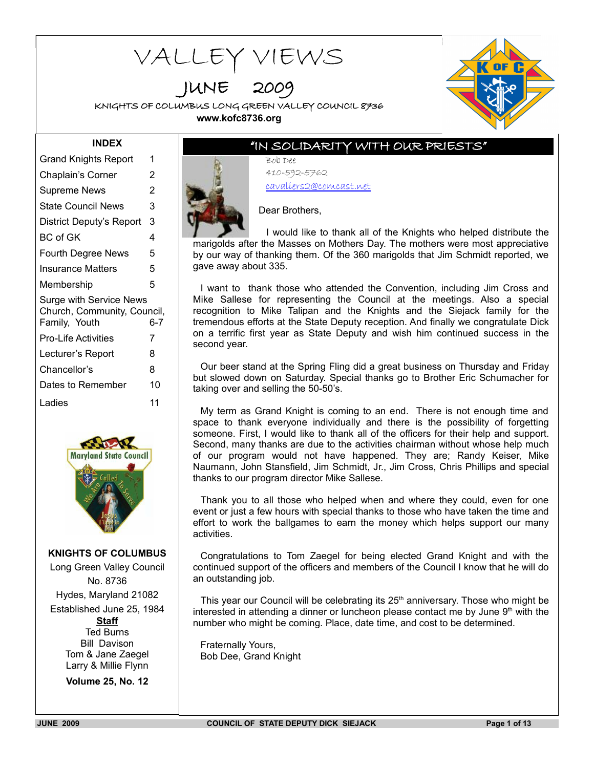# VALLEY VIEWS

JUNE 2009

KNIGHTS OF COLUMBUS LONG GREEN VALLEY COUNCIL 8736 **www.kofc8736.org**



#### **INDEX**

| 1                                                                                     |  |  |  |  |
|---------------------------------------------------------------------------------------|--|--|--|--|
| 2                                                                                     |  |  |  |  |
| 2                                                                                     |  |  |  |  |
| 3                                                                                     |  |  |  |  |
| 3                                                                                     |  |  |  |  |
| 4                                                                                     |  |  |  |  |
| 5                                                                                     |  |  |  |  |
| 5                                                                                     |  |  |  |  |
| 5                                                                                     |  |  |  |  |
| <b>Surge with Service News</b><br>Church, Community, Council,<br>Family, Youth<br>6-7 |  |  |  |  |
| 7                                                                                     |  |  |  |  |
| 8                                                                                     |  |  |  |  |
| 8                                                                                     |  |  |  |  |
| 10                                                                                    |  |  |  |  |
| 11                                                                                    |  |  |  |  |
|                                                                                       |  |  |  |  |



**KNIGHTS OF COLUMBUS**

Long Green Valley Council No. 8736 Hydes, Maryland 21082 Established June 25, 1984 **Staff** Ted Burns Bill Davison Tom & Jane Zaegel Larry & Millie Flynn

**Volume 25, No. 12**

# "IN SOLIDARITY WITH OUR PRIESTS"

Bob Dee 410-592-5762 cavaliers2@comcast.net



Dear Brothers,

I would like to thank all of the Knights who helped distribute the marigolds after the Masses on Mothers Day. The mothers were most appreciative by our way of thanking them. Of the 360 marigolds that Jim Schmidt reported, we gave away about 335.

I want to thank those who attended the Convention, including Jim Cross and Mike Sallese for representing the Council at the meetings. Also a special recognition to Mike Talipan and the Knights and the Siejack family for the tremendous efforts at the State Deputy reception. And finally we congratulate Dick on a terrific first year as State Deputy and wish him continued success in the second year.

Our beer stand at the Spring Fling did a great business on Thursday and Friday but slowed down on Saturday. Special thanks go to Brother Eric Schumacher for taking over and selling the 50-50's.

My term as Grand Knight is coming to an end. There is not enough time and space to thank everyone individually and there is the possibility of forgetting someone. First, I would like to thank all of the officers for their help and support. Second, many thanks are due to the activities chairman without whose help much of our program would not have happened. They are; Randy Keiser, Mike Naumann, John Stansfield, Jim Schmidt, Jr., Jim Cross, Chris Phillips and special thanks to our program director Mike Sallese.

Thank you to all those who helped when and where they could, even for one event or just a few hours with special thanks to those who have taken the time and effort to work the ballgames to earn the money which helps support our many activities.

Congratulations to Tom Zaegel for being elected Grand Knight and with the continued support of the officers and members of the Council I know that he will do an outstanding job.

This year our Council will be celebrating its  $25<sup>th</sup>$  anniversary. Those who might be interested in attending a dinner or luncheon please contact me by June  $9<sup>th</sup>$  with the number who might be coming. Place, date time, and cost to be determined.

Fraternally Yours, Bob Dee, Grand Knight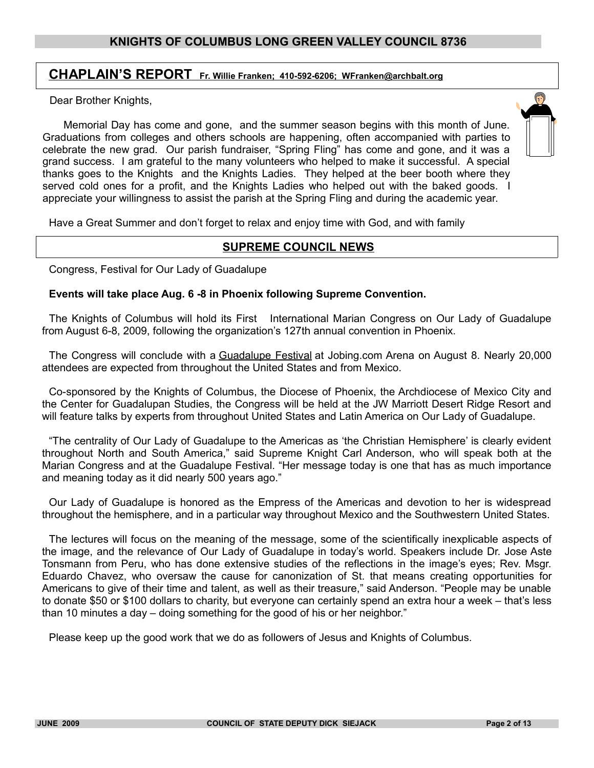# **CHAPLAIN'S REPORT Fr. Willie Franken; 410-592-6206; WFranken@archbalt.org**

Dear Brother Knights,

 Memorial Day has come and gone, and the summer season begins with this month of June. Graduations from colleges and others schools are happening, often accompanied with parties to celebrate the new grad. Our parish fundraiser, "Spring Fling" has come and gone, and it was a grand success. I am grateful to the many volunteers who helped to make it successful. A special thanks goes to the Knights and the Knights Ladies. They helped at the beer booth where they served cold ones for a profit, and the Knights Ladies who helped out with the baked goods. I appreciate your willingness to assist the parish at the Spring Fling and during the academic year.

Have a Great Summer and don't forget to relax and enjoy time with God, and with family

#### **SUPREME COUNCIL NEWS**

Congress, Festival for Our Lady of Guadalupe

#### **Events will take place Aug. 6 -8 in Phoenix following Supreme Convention.**

The Knights of Columbus will hold its First International Marian Congress on Our Lady of Guadalupe from August 6-8, 2009, following the organization's 127th annual convention in Phoenix.

The Congress will conclude with a [Guadalupe Festival](http://guadalupefestival.org/en/index.html) at Jobing.com Arena on August 8. Nearly 20,000 attendees are expected from throughout the United States and from Mexico.

Co-sponsored by the Knights of Columbus, the Diocese of Phoenix, the Archdiocese of Mexico City and the Center for Guadalupan Studies, the Congress will be held at the JW Marriott Desert Ridge Resort and will feature talks by experts from throughout United States and Latin America on Our Lady of Guadalupe.

"The centrality of Our Lady of Guadalupe to the Americas as 'the Christian Hemisphere' is clearly evident throughout North and South America," said Supreme Knight Carl Anderson, who will speak both at the Marian Congress and at the Guadalupe Festival. "Her message today is one that has as much importance and meaning today as it did nearly 500 years ago."

Our Lady of Guadalupe is honored as the Empress of the Americas and devotion to her is widespread throughout the hemisphere, and in a particular way throughout Mexico and the Southwestern United States.

The lectures will focus on the meaning of the message, some of the scientifically inexplicable aspects of the image, and the relevance of Our Lady of Guadalupe in today's world. Speakers include Dr. Jose Aste Tonsmann from Peru, who has done extensive studies of the reflections in the image's eyes; Rev. Msgr. Eduardo Chavez, who oversaw the cause for canonization of St. that means creating opportunities for Americans to give of their time and talent, as well as their treasure," said Anderson. "People may be unable to donate \$50 or \$100 dollars to charity, but everyone can certainly spend an extra hour a week – that's less than 10 minutes a day – doing something for the good of his or her neighbor."

Please keep up the good work that we do as followers of Jesus and Knights of Columbus.

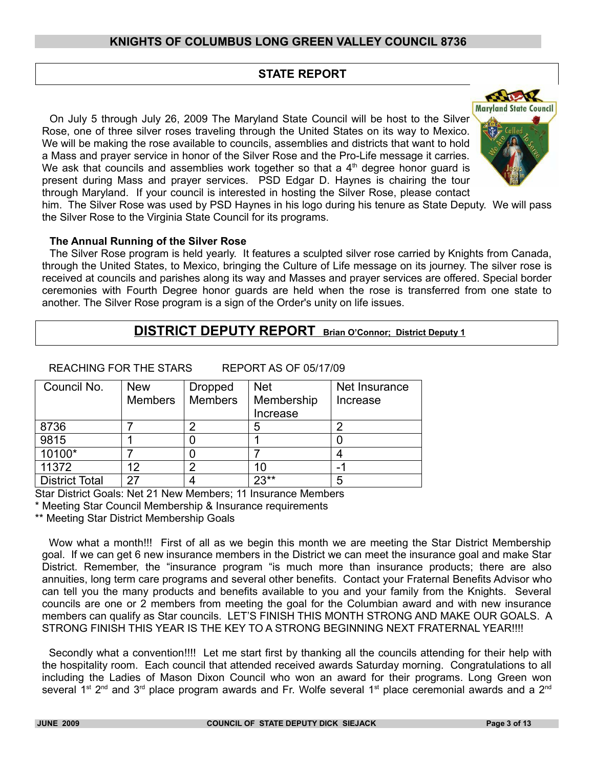# **STATE REPORT**

On July 5 through July 26, 2009 The Maryland State Council will be host to the Silver Rose, one of three silver roses traveling through the United States on its way to Mexico. We will be making the rose available to councils, assemblies and districts that want to hold a Mass and prayer service in honor of the Silver Rose and the Pro-Life message it carries. We ask that councils and assemblies work together so that a  $4<sup>th</sup>$  degree honor guard is present during Mass and prayer services. PSD Edgar D. Haynes is chairing the tour through Maryland. If your council is interested in hosting the Silver Rose, please contact



him. The Silver Rose was used by PSD Haynes in his logo during his tenure as State Deputy. We will pass the Silver Rose to the Virginia State Council for its programs.

#### **The Annual Running of the Silver Rose**

The Silver Rose program is held yearly. It features a sculpted silver rose carried by Knights from Canada, through the United States, to Mexico, bringing the Culture of Life message on its journey. The silver rose is received at councils and parishes along its way and Masses and prayer services are offered. Special border ceremonies with Fourth Degree honor guards are held when the rose is transferred from one state to another. The Silver Rose program is a sign of the Order's unity on life issues.

# **DISTRICT DEPUTY REPORT Brian O'Connor; District Deputy 1**

REACHING FOR THE STARS REPORT AS OF 05/17/09

| Council No.           | <b>New</b>     | <b>Dropped</b> | <b>Net</b> | Net Insurance |
|-----------------------|----------------|----------------|------------|---------------|
|                       | <b>Members</b> | <b>Members</b> | Membership | Increase      |
|                       |                |                | Increase   |               |
| 8736                  |                |                | 5          | 2             |
| 9815                  |                |                |            |               |
| 10100*                |                |                |            | 4             |
| 11372                 | 12             |                | 10         | -             |
| <b>District Total</b> | 27             |                | $23**$     | 5             |

Star District Goals: Net 21 New Members; 11 Insurance Members

Meeting Star Council Membership & Insurance requirements

\*\* Meeting Star District Membership Goals

Wow what a month!!! First of all as we begin this month we are meeting the Star District Membership goal. If we can get 6 new insurance members in the District we can meet the insurance goal and make Star District. Remember, the "insurance program "is much more than insurance products; there are also annuities, long term care programs and several other benefits. Contact your Fraternal Benefits Advisor who can tell you the many products and benefits available to you and your family from the Knights. Several councils are one or 2 members from meeting the goal for the Columbian award and with new insurance members can qualify as Star councils. LET'S FINISH THIS MONTH STRONG AND MAKE OUR GOALS. A STRONG FINISH THIS YEAR IS THE KEY TO A STRONG BEGINNING NEXT FRATERNAL YEAR!!!!

Secondly what a convention!!!! Let me start first by thanking all the councils attending for their help with the hospitality room. Each council that attended received awards Saturday morning. Congratulations to all including the Ladies of Mason Dixon Council who won an award for their programs. Long Green won several 1<sup>st</sup> 2<sup>nd</sup> and 3<sup>rd</sup> place program awards and Fr. Wolfe several 1<sup>st</sup> place ceremonial awards and a 2<sup>nd</sup>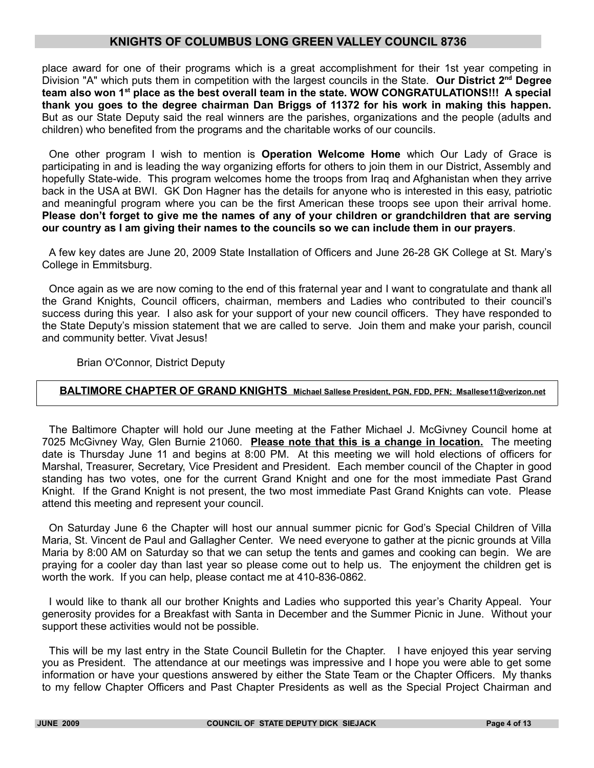place award for one of their programs which is a great accomplishment for their 1st year competing in Division "A" which puts them in competition with the largest councils in the State. **Our District 2nd Degree team also won 1st place as the best overall team in the state. WOW CONGRATULATIONS!!! A special thank you goes to the degree chairman Dan Briggs of 11372 for his work in making this happen.** But as our State Deputy said the real winners are the parishes, organizations and the people (adults and children) who benefited from the programs and the charitable works of our councils.

One other program I wish to mention is **Operation Welcome Home** which Our Lady of Grace is participating in and is leading the way organizing efforts for others to join them in our District, Assembly and hopefully State-wide. This program welcomes home the troops from Iraq and Afghanistan when they arrive back in the USA at BWI. GK Don Hagner has the details for anyone who is interested in this easy, patriotic and meaningful program where you can be the first American these troops see upon their arrival home. **Please don't forget to give me the names of any of your children or grandchildren that are serving our country as I am giving their names to the councils so we can include them in our prayers**.

A few key dates are June 20, 2009 State Installation of Officers and June 26-28 GK College at St. Mary's College in Emmitsburg.

Once again as we are now coming to the end of this fraternal year and I want to congratulate and thank all the Grand Knights, Council officers, chairman, members and Ladies who contributed to their council's success during this year. I also ask for your support of your new council officers. They have responded to the State Deputy's mission statement that we are called to serve. Join them and make your parish, council and community better. Vivat Jesus!

Brian O'Connor, District Deputy

## **BALTIMORE CHAPTER OF GRAND KNIGHTS Michael Sallese President, PGN, FDD, PFN; Msallese11@verizon.net**

The Baltimore Chapter will hold our June meeting at the Father Michael J. McGivney Council home at 7025 McGivney Way, Glen Burnie 21060. **Please note that this is a change in location.** The meeting date is Thursday June 11 and begins at 8:00 PM. At this meeting we will hold elections of officers for Marshal, Treasurer, Secretary, Vice President and President. Each member council of the Chapter in good standing has two votes, one for the current Grand Knight and one for the most immediate Past Grand Knight. If the Grand Knight is not present, the two most immediate Past Grand Knights can vote. Please attend this meeting and represent your council.

On Saturday June 6 the Chapter will host our annual summer picnic for God's Special Children of Villa Maria, St. Vincent de Paul and Gallagher Center. We need everyone to gather at the picnic grounds at Villa Maria by 8:00 AM on Saturday so that we can setup the tents and games and cooking can begin. We are praying for a cooler day than last year so please come out to help us. The enjoyment the children get is worth the work. If you can help, please contact me at 410-836-0862.

I would like to thank all our brother Knights and Ladies who supported this year's Charity Appeal. Your generosity provides for a Breakfast with Santa in December and the Summer Picnic in June. Without your support these activities would not be possible.

This will be my last entry in the State Council Bulletin for the Chapter. I have enjoyed this year serving you as President. The attendance at our meetings was impressive and I hope you were able to get some information or have your questions answered by either the State Team or the Chapter Officers. My thanks to my fellow Chapter Officers and Past Chapter Presidents as well as the Special Project Chairman and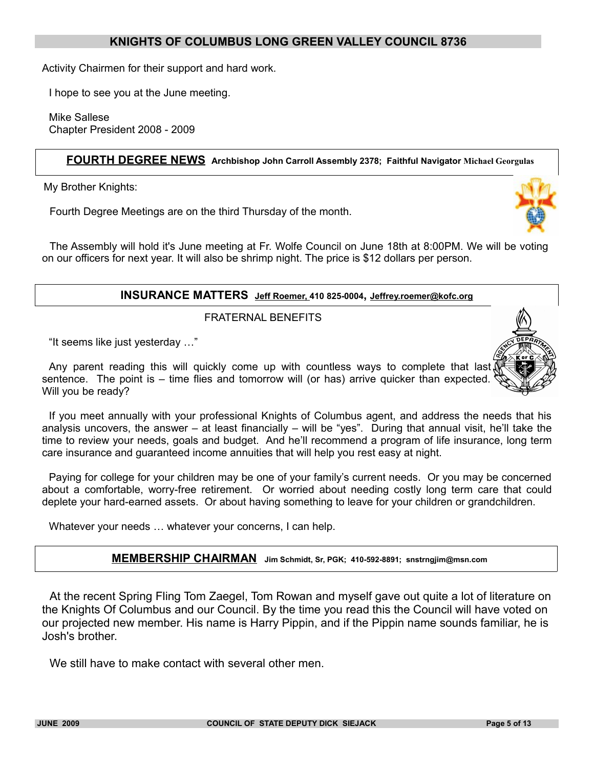Activity Chairmen for their support and hard work.

I hope to see you at the June meeting.

Mike Sallese Chapter President 2008 - 2009

#### **FOURTH DEGREE NEWS Archbishop John Carroll Assembly 2378; Faithful Navigator Michael Georgulas**

My Brother Knights:

Fourth Degree Meetings are on the third Thursday of the month.



The Assembly will hold it's June meeting at Fr. Wolfe Council on June 18th at 8:00PM. We will be voting on our officers for next year. It will also be shrimp night. The price is \$12 dollars per person.

#### **INSURANCE MATTERS Jeff Roemer, 410 825-0004, Jeffrey.roemer@kofc.org**

FRATERNAL BENEFITS

"It seems like just yesterday …"

Any parent reading this will quickly come up with countless ways to complete that last, sentence. The point is – time flies and tomorrow will (or has) arrive quicker than expected. Will you be ready?

If you meet annually with your professional Knights of Columbus agent, and address the needs that his analysis uncovers, the answer – at least financially – will be "yes". During that annual visit, he'll take the time to review your needs, goals and budget. And he'll recommend a program of life insurance, long term care insurance and guaranteed income annuities that will help you rest easy at night.

Paying for college for your children may be one of your family's current needs. Or you may be concerned about a comfortable, worry-free retirement. Or worried about needing costly long term care that could deplete your hard-earned assets. Or about having something to leave for your children or grandchildren.

Whatever your needs … whatever your concerns, I can help.



At the recent Spring Fling Tom Zaegel, Tom Rowan and myself gave out quite a lot of literature on the Knights Of Columbus and our Council. By the time you read this the Council will have voted on our projected new member. His name is Harry Pippin, and if the Pippin name sounds familiar, he is Josh's brother.

We still have to make contact with several other men.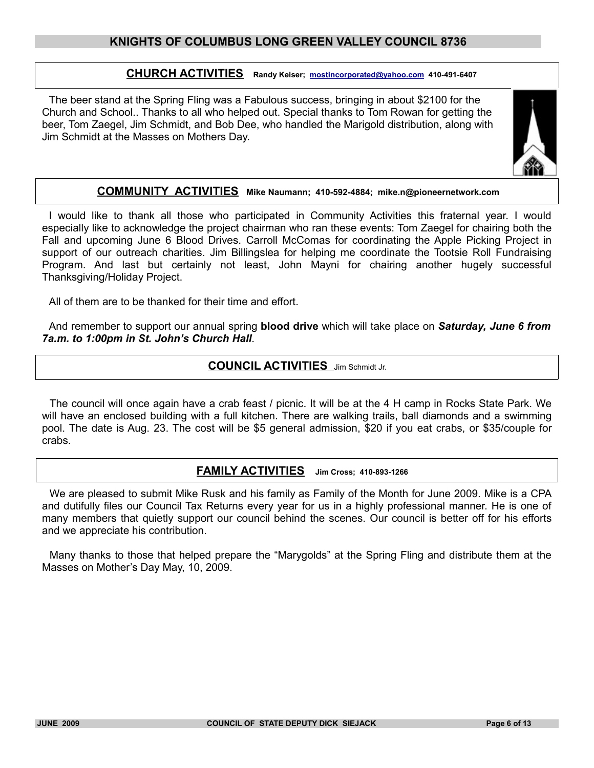# **CHURCH ACTIVITIES Randy Keiser; [mostincorporated@yahoo.com](mailto:mostincorporated@yahoo.com) 410-491-6407**

The beer stand at the Spring Fling was a Fabulous success, bringing in about \$2100 for the Church and School.. Thanks to all who helped out. Special thanks to Tom Rowan for getting the beer, Tom Zaegel, Jim Schmidt, and Bob Dee, who handled the Marigold distribution, along with Jim Schmidt at the Masses on Mothers Day.



#### **COMMUNITY ACTIVITIES Mike Naumann; 410-592-4884; mike.n@pioneernetwork.com**

I would like to thank all those who participated in Community Activities this fraternal year. I would especially like to acknowledge the project chairman who ran these events: Tom Zaegel for chairing both the Fall and upcoming June 6 Blood Drives. Carroll McComas for coordinating the Apple Picking Project in support of our outreach charities. Jim Billingslea for helping me coordinate the Tootsie Roll Fundraising Program. And last but certainly not least, John Mayni for chairing another hugely successful Thanksgiving/Holiday Project.

All of them are to be thanked for their time and effort.

And remember to support our annual spring **blood drive** which will take place on *Saturday, June 6 from 7a.m. to 1:00pm in St. John's Church Hall*.

## **COUNCIL ACTIVITIES** Jim Schmidt Jr.

The council will once again have a crab feast / picnic. It will be at the 4 H camp in Rocks State Park. We will have an enclosed building with a full kitchen. There are walking trails, ball diamonds and a swimming pool. The date is Aug. 23. The cost will be \$5 general admission, \$20 if you eat crabs, or \$35/couple for crabs.

#### **FAMILY ACTIVITIES Jim Cross; 410-893-1266**

We are pleased to submit Mike Rusk and his family as Family of the Month for June 2009. Mike is a CPA and dutifully files our Council Tax Returns every year for us in a highly professional manner. He is one of many members that quietly support our council behind the scenes. Our council is better off for his efforts and we appreciate his contribution.

Many thanks to those that helped prepare the "Marygolds" at the Spring Fling and distribute them at the Masses on Mother's Day May, 10, 2009.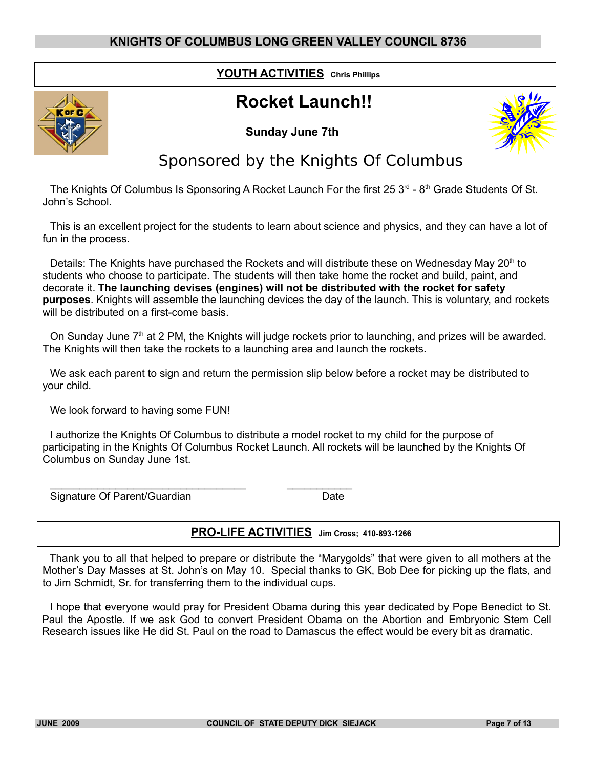# **YOUTH ACTIVITIES Chris Phillips**

# **Rocket Launch!!**







# Sponsored by the Knights Of Columbus

The Knights Of Columbus Is Sponsoring A Rocket Launch For the first 25  $3<sup>rd</sup>$  - 8<sup>th</sup> Grade Students Of St. John's School.

This is an excellent project for the students to learn about science and physics, and they can have a lot of fun in the process.

Details: The Knights have purchased the Rockets and will distribute these on Wednesday May  $20<sup>th</sup>$  to students who choose to participate. The students will then take home the rocket and build, paint, and decorate it. **The launching devises (engines) will not be distributed with the rocket for safety purposes**. Knights will assemble the launching devices the day of the launch. This is voluntary, and rockets will be distributed on a first-come basis.

On Sunday June 7<sup>th</sup> at 2 PM, the Knights will judge rockets prior to launching, and prizes will be awarded. The Knights will then take the rockets to a launching area and launch the rockets.

We ask each parent to sign and return the permission slip below before a rocket may be distributed to your child.

We look forward to having some FUN!

\_\_\_\_\_\_\_\_\_\_\_\_\_\_\_\_\_\_\_\_\_\_\_\_\_\_\_\_\_\_\_\_\_ \_\_\_\_\_\_\_\_\_\_\_

I authorize the Knights Of Columbus to distribute a model rocket to my child for the purpose of participating in the Knights Of Columbus Rocket Launch. All rockets will be launched by the Knights Of Columbus on Sunday June 1st.

Signature Of Parent/Guardian Date

# **PRO-LIFE ACTIVITIES Jim Cross; 410-893-1266**

Thank you to all that helped to prepare or distribute the "Marygolds" that were given to all mothers at the Mother's Day Masses at St. John's on May 10. Special thanks to GK, Bob Dee for picking up the flats, and to Jim Schmidt, Sr. for transferring them to the individual cups.

I hope that everyone would pray for President Obama during this year dedicated by Pope Benedict to St. Paul the Apostle. If we ask God to convert President Obama on the Abortion and Embryonic Stem Cell Research issues like He did St. Paul on the road to Damascus the effect would be every bit as dramatic.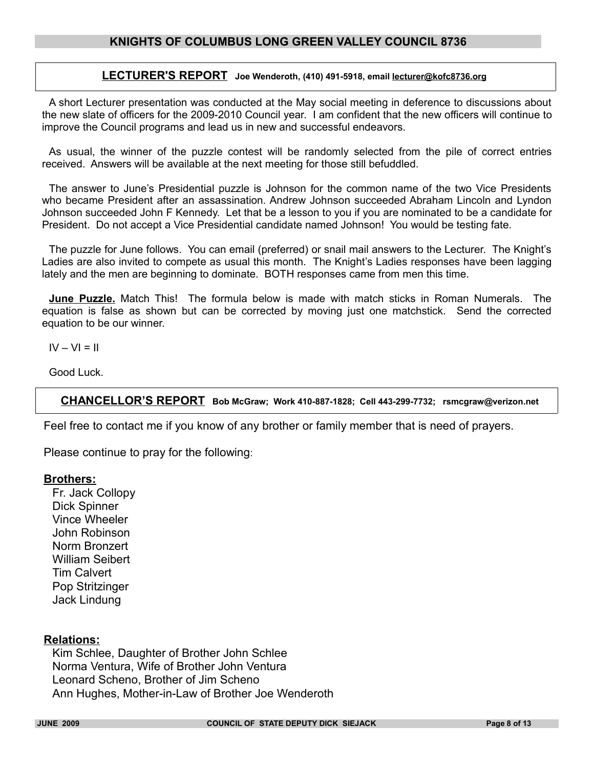#### **LECTURER'S REPORT Joe Wenderoth, (410) 491-5918, email lecturer@kofc8736.org**

A short Lecturer presentation was conducted at the May social meeting in deference to discussions about the new slate of officers for the 2009-2010 Council year. I am confident that the new officers will continue to improve the Council programs and lead us in new and successful endeavors.

As usual, the winner of the puzzle contest will be randomly selected from the pile of correct entries received. Answers will be available at the next meeting for those still befuddled.

The answer to June's Presidential puzzle is Johnson for the common name of the two Vice Presidents who became President after an assassination. Andrew Johnson succeeded Abraham Lincoln and Lyndon Johnson succeeded John F Kennedy. Let that be a lesson to you if you are nominated to be a candidate for President. Do not accept a Vice Presidential candidate named Johnson! You would be testing fate.

The puzzle for June follows. You can email (preferred) or snail mail answers to the Lecturer. The Knight's Ladies are also invited to compete as usual this month. The Knight's Ladies responses have been lagging lately and the men are beginning to dominate. BOTH responses came from men this time.

**June Puzzle.** Match This! The formula below is made with match sticks in Roman Numerals. The equation is false as shown but can be corrected by moving just one matchstick. Send the corrected equation to be our winner.

 $IV - VI = II$ 

Good Luck.

**CHANCELLOR'S REPORT Bob McGraw; Work 410-887-1828; Cell 443-299-7732; rsmcgraw@verizon.net**

Feel free to contact me if you know of any brother or family member that is need of prayers.

Please continue to pray for the following:

#### **Brothers:**

Fr. Jack Collopy Dick Spinner Vince Wheeler John Robinson Norm Bronzert William Seibert Tim Calvert Pop Stritzinger Jack Lindung

#### **Relations:**

Kim Schlee, Daughter of Brother John Schlee Norma Ventura, Wife of Brother John Ventura Leonard Scheno, Brother of Jim Scheno Ann Hughes, Mother-in-Law of Brother Joe Wenderoth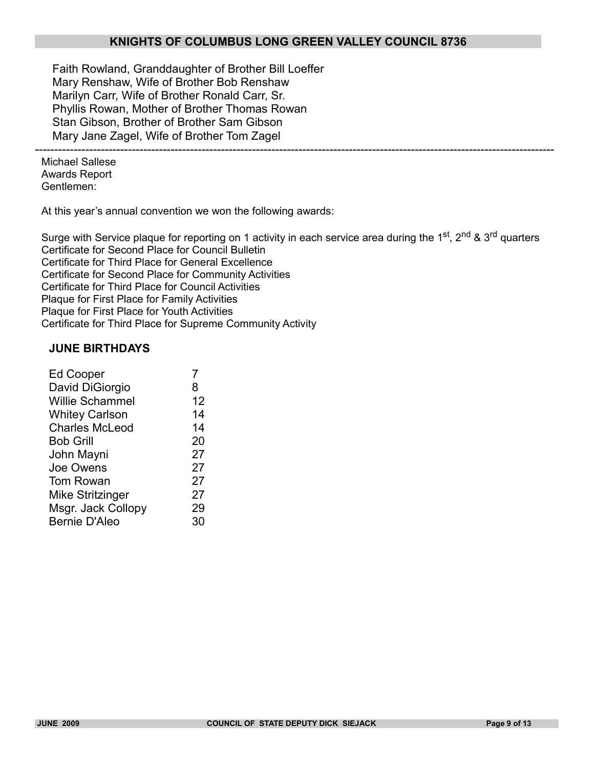--------------------------------------------------------------------------------------------------------------------------------------

Faith Rowland, Granddaughter of Brother Bill Loeffer Mary Renshaw, Wife of Brother Bob Renshaw Marilyn Carr, Wife of Brother Ronald Carr, Sr. Phyllis Rowan, Mother of Brother Thomas Rowan Stan Gibson, Brother of Brother Sam Gibson Mary Jane Zagel, Wife of Brother Tom Zagel

Michael Sallese Awards Report Gentlemen:

At this year's annual convention we won the following awards:

Surge with Service plaque for reporting on 1 activity in each service area during the 1st, 2nd & 3rd quarters Certificate for Second Place for Council Bulletin Certificate for Third Place for General Excellence Certificate for Second Place for Community Activities Certificate for Third Place for Council Activities Plaque for First Place for Family Activities Plaque for First Place for Youth Activities Certificate for Third Place for Supreme Community Activity

#### **JUNE BIRTHDAYS**

| <b>Ed Cooper</b>       |    |
|------------------------|----|
| David DiGiorgio        | 8  |
| <b>Willie Schammel</b> | 12 |
| <b>Whitey Carlson</b>  | 14 |
| <b>Charles McLeod</b>  | 14 |
| <b>Bob Grill</b>       | 20 |
| John Mayni             | 27 |
| Joe Owens              | 27 |
| Tom Rowan              | 27 |
| Mike Stritzinger       | 27 |
| Msgr. Jack Collopy     | 29 |
| <b>Bernie D'Aleo</b>   | 30 |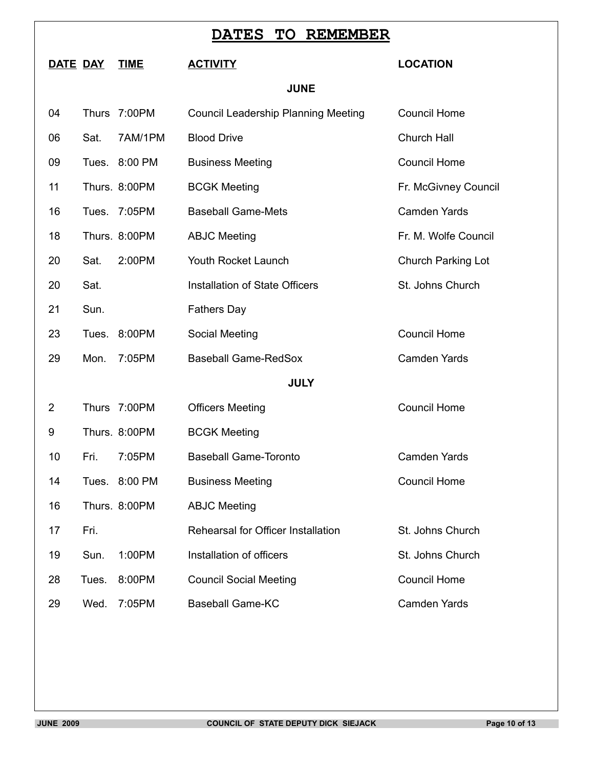| <b>TO</b><br><b>REMEMBER</b><br><b>DATES</b> |                |              |               |                                            |                           |  |
|----------------------------------------------|----------------|--------------|---------------|--------------------------------------------|---------------------------|--|
|                                              | DATE DAY       |              | <b>TIME</b>   | <b>ACTIVITY</b>                            | <b>LOCATION</b>           |  |
|                                              |                |              |               | <b>JUNE</b>                                |                           |  |
|                                              | 04             | <b>Thurs</b> | 7:00PM        | <b>Council Leadership Planning Meeting</b> | <b>Council Home</b>       |  |
|                                              | 06             | Sat.         | 7AM/1PM       | <b>Blood Drive</b>                         | Church Hall               |  |
|                                              | 09             |              | Tues. 8:00 PM | <b>Business Meeting</b>                    | <b>Council Home</b>       |  |
|                                              | 11             |              | Thurs. 8:00PM | <b>BCGK Meeting</b>                        | Fr. McGivney Council      |  |
|                                              | 16             | Tues.        | 7:05PM        | <b>Baseball Game-Mets</b>                  | <b>Camden Yards</b>       |  |
|                                              | 18             |              | Thurs. 8:00PM | <b>ABJC Meeting</b>                        | Fr. M. Wolfe Council      |  |
|                                              | 20             | Sat.         | 2:00PM        | Youth Rocket Launch                        | <b>Church Parking Lot</b> |  |
|                                              | 20             | Sat.         |               | <b>Installation of State Officers</b>      | St. Johns Church          |  |
|                                              | 21             | Sun.         |               | <b>Fathers Day</b>                         |                           |  |
|                                              | 23             | Tues.        | 8:00PM        | Social Meeting                             | <b>Council Home</b>       |  |
|                                              | 29             | Mon.         | 7:05PM        | <b>Baseball Game-RedSox</b>                | <b>Camden Yards</b>       |  |
|                                              |                |              |               | <b>JULY</b>                                |                           |  |
|                                              | $\overline{2}$ |              | Thurs 7:00PM  | <b>Officers Meeting</b>                    | <b>Council Home</b>       |  |
|                                              | 9              |              | Thurs. 8:00PM | <b>BCGK Meeting</b>                        |                           |  |
|                                              | 10             | Fri.         | 7:05PM        | <b>Baseball Game-Toronto</b>               | Camden Yards              |  |
|                                              | 14             |              | Tues. 8:00 PM | <b>Business Meeting</b>                    | <b>Council Home</b>       |  |
|                                              | 16             |              | Thurs. 8:00PM | <b>ABJC Meeting</b>                        |                           |  |
|                                              | 17             | Fri.         |               | Rehearsal for Officer Installation         | St. Johns Church          |  |
|                                              | 19             | Sun.         | 1:00PM        | Installation of officers                   | St. Johns Church          |  |
|                                              | 28             | Tues.        | 8:00PM        | <b>Council Social Meeting</b>              | <b>Council Home</b>       |  |
|                                              | 29             | Wed.         | 7:05PM        | <b>Baseball Game-KC</b>                    | <b>Camden Yards</b>       |  |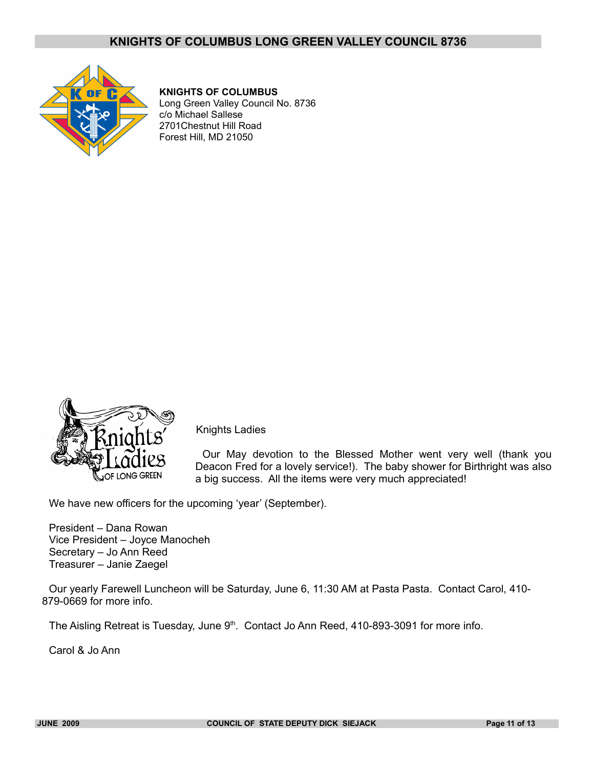

#### **KNIGHTS OF COLUMBUS**

Long Green Valley Council No. 8736 c/o Michael Sallese 2701Chestnut Hill Road Forest Hill, MD 21050



Knights Ladies

Our May devotion to the Blessed Mother went very well (thank you Deacon Fred for a lovely service!). The baby shower for Birthright was also a big success. All the items were very much appreciated!

We have new officers for the upcoming 'year' (September).

President – Dana Rowan Vice President – Joyce Manocheh Secretary – Jo Ann Reed Treasurer – Janie Zaegel

Our yearly Farewell Luncheon will be Saturday, June 6, 11:30 AM at Pasta Pasta. Contact Carol, 410- 879-0669 for more info.

The Aisling Retreat is Tuesday, June 9<sup>th</sup>. Contact Jo Ann Reed, 410-893-3091 for more info.

Carol & Jo Ann